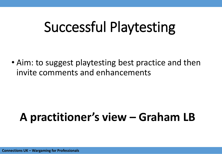## Successful Playtesting

• Aim: to suggest playtesting best practice and then invite comments and enhancements

### **A practitioner's view – Graham LB**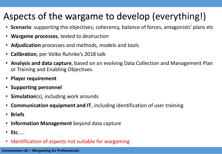#### Aspects of the wargame to develop (everything!)

- **Scenario**: supporting the objectives; coherency, balance of forces, antagonists' plans etc
- **Wargame processes**, tested to *destruction*
- **Adjudication** processes and methods, models and tools
- **Calibration**, per Volko Ruhnke's 2018 talk
- **Analysis and data capture**, based on an evolving Data Collection and Management Plan or Training and Enabling Objectives.
- **Player requirement**
- **Supporting personnel**
- **Simulation**(s), including work arounds
- **Communication equipment and IT**, including identification of user training
- **Briefs**
- **Information Management** beyond data capture
- **Etc**…..
- Identification of aspects not suitable for wargaming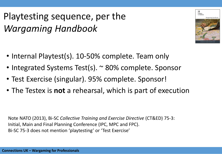Playtesting sequence, per the *Wargaming Handbook*

- Internal Playtest(s). 10-50% complete. Team only
	- Integrated Systems Test(s). ~ 80% complete. Sponsor
	- Test Exercise (singular). 95% complete. Sponsor!
	- The Testex is **not** a rehearsal, which is part of execution

Note NATO (2013), Bi-SC *Collective Training and Exercise Directive* (CT&ED) 75-3: Initial, Main and Final Planning Conference (IPC, MPC and FPC). Bi-SC 75-3 does not mention 'playtesting' or 'Test Exercise'

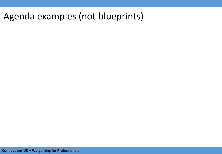#### Agenda examples (not blueprints)

**Connections UK – Wargaming for Professionals** 4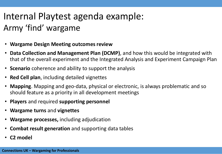### Internal Playtest agenda example: Army 'find' wargame

- **Wargame Design Meeting outcomes review**
- **Data Collection and Management Plan (DCMP)**, and how this would be integrated with that of the overall experiment and the Integrated Analysis and Experiment Campaign Plan
- **Scenario** coherence and ability to support the analysis
- **Red Cell plan**, including detailed vignettes
- **Mapping**. Mapping and geo-data, physical or electronic, is always problematic and so should feature as a priority in all development meetings
- **Players** and required **supporting personnel**
- **Wargame turns** and **vignettes**
- **Wargame processes,** including adjudication
- **Combat result generation** and supporting data tables
- **C2 model**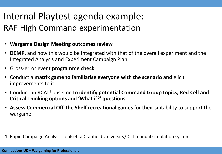#### Internal Playtest agenda example: RAF High Command experimentation

- **Wargame Design Meeting outcomes review**
- **DCMP**, and how this would be integrated with that of the overall experiment and the Integrated Analysis and Experiment Campaign Plan
- Gross-error event **programme check**
- Conduct a **matrix game to familiarise everyone with the scenario and** elicit improvements to it
- Conduct an RCAT<sup>1</sup> baseline to **identify potential Command Group topics, Red Cell and Critical Thinking options** and **'What if?' questions**
- **Assess Commercial Off The Shelf recreational games** for their suitability to support the wargame

1. Rapid Campaign Analysis Toolset, a Cranfield University/Dstl manual simulation system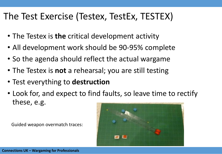#### The Test Exercise (Testex, TestEx, TESTEX)

- The Testex is **the** critical development activity
- All development work should be 90-95% complete
- So the agenda should reflect the actual wargame
- The Testex is **not** a rehearsal; you are still testing
- Test everything to **destruction**
- Look for, and expect to find faults, so leave time to rectify these, e.g.

Guided weapon overmatch traces:

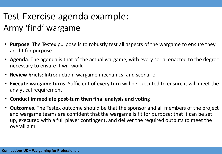### Test Exercise agenda example: Army 'find' wargame

- **Purpose**. The Testex purpose is to robustly test all aspects of the wargame to ensure they are fit for purpose
- **Agenda**. The agenda is that of the actual wargame, with every serial enacted to the degree necessary to ensure it will work
- **Review briefs**: Introduction; wargame mechanics; and scenario
- **Execute wargame turns**. Sufficient of every turn will be executed to ensure it will meet the analytical requirement
- **Conduct immediate post-turn then final analysis and voting**
- **Outcomes**. The Testex outcome should be that the sponsor and all members of the project and wargame teams are confident that the wargame is fit for purpose; that it can be set up, executed with a full player contingent, and deliver the required outputs to meet the overall aim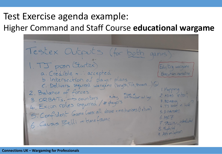#### Test Exercise agenda example: Higher Command and Staff Course **educational wargame**

Testex Outputs (for both games): 1. TJ posn (Startex) Edu/trg wargane a. Credible + : accepted 'Execution narrative b. Intersection of dayer plans C. Delivers required wargame (length, TD, themes...) 1. Mapping<br>2. AZAD intent 2. Balance of forces<br>3. ORBATs. Scounters Muting criticisme ind logs<br>4. Excon roles required / # players<br>4. Excon roles required / # players  $3.82ABxx$ <br>4. TJ brief in WG 4. Excon roles requirea / # finge.<br>5. Confident Game Cons: all above + nechanisms (Ixtum)  $5. D = ACTORO$ 5. Confident Game Cole.  $6.ME7$ B. ME t<br>7. TALLIN interdided 8. tlybrid 9. Ass initiation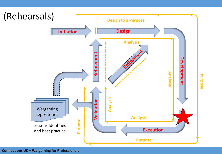

#### **Connections UK – Wargaming for Professionals**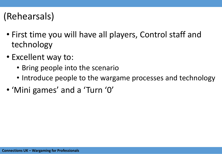#### (Rehearsals)

- First time you will have all players, Control staff and technology
- Excellent way to:
	- Bring people into the scenario
	- Introduce people to the wargame processes and technology
- 'Mini games' and a 'Turn '0'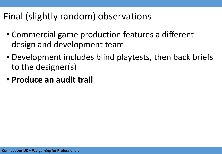#### Final (slightly random) observations

- Commercial game production features a different design and development team
- Development includes blind playtests, then back briefs to the designer(s)
- **Produce an audit trail**